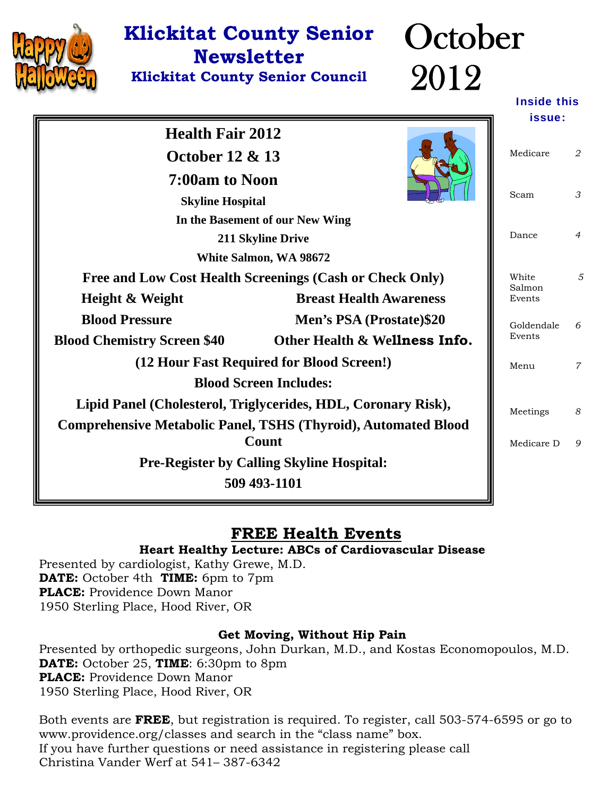

## **Klickitat County Senior Newsletter**

**Klickitat County Senior Council** 

## **October** 2012

Inside this

|                                                                       |                                                          | issue:          |                |
|-----------------------------------------------------------------------|----------------------------------------------------------|-----------------|----------------|
| <b>Health Fair 2012</b><br><b>October 12 &amp; 13</b>                 | Medicare                                                 | 2               |                |
| 7:00am to Noon<br><b>Skyline Hospital</b>                             |                                                          |                 | 3              |
|                                                                       | In the Basement of our New Wing                          |                 |                |
|                                                                       | 211 Skyline Drive                                        | Dance           | $\overline{4}$ |
|                                                                       | White Salmon, WA 98672                                   |                 |                |
|                                                                       | Free and Low Cost Health Screenings (Cash or Check Only) | White<br>Salmon | 5              |
| Height & Weight                                                       | <b>Breast Health Awareness</b>                           | Events          |                |
| <b>Blood Pressure</b>                                                 | Men's PSA (Prostate)\$20                                 | Goldendale      | 6              |
| <b>Blood Chemistry Screen \$40</b>                                    | Other Health & Wellness Info.                            | Events          |                |
|                                                                       | (12 Hour Fast Required for Blood Screen!)                |                 |                |
| <b>Blood Screen Includes:</b>                                         |                                                          |                 |                |
| Lipid Panel (Cholesterol, Triglycerides, HDL, Coronary Risk),         |                                                          |                 | 8              |
| <b>Comprehensive Metabolic Panel, TSHS (Thyroid), Automated Blood</b> |                                                          |                 |                |
| Count                                                                 |                                                          |                 | 9              |
| <b>Pre-Register by Calling Skyline Hospital:</b>                      |                                                          |                 |                |
| 509 493-1101                                                          |                                                          |                 |                |
|                                                                       |                                                          |                 |                |

### **FREE Health Events**

### **Heart Healthy Lecture: ABCs of Cardiovascular Disease**

Presented by cardiologist, Kathy Grewe, M.D. **DATE:** October 4th **TIME:** 6pm to 7pm **PLACE:** Providence Down Manor 1950 Sterling Place, Hood River, OR

### **Get Moving, Without Hip Pain**

Presented by orthopedic surgeons, John Durkan, M.D., and Kostas Economopoulos, M.D. **DATE:** October 25, **TIME**: 6:30pm to 8pm **PLACE:** Providence Down Manor 1950 Sterling Place, Hood River, OR

Both events are **FREE**, but registration is required. To register, call 503-574-6595 or go to www.providence.org/classes and search in the "class name" box. If you have further questions or need assistance in registering please call Christina Vander Werf at 541– 387-6342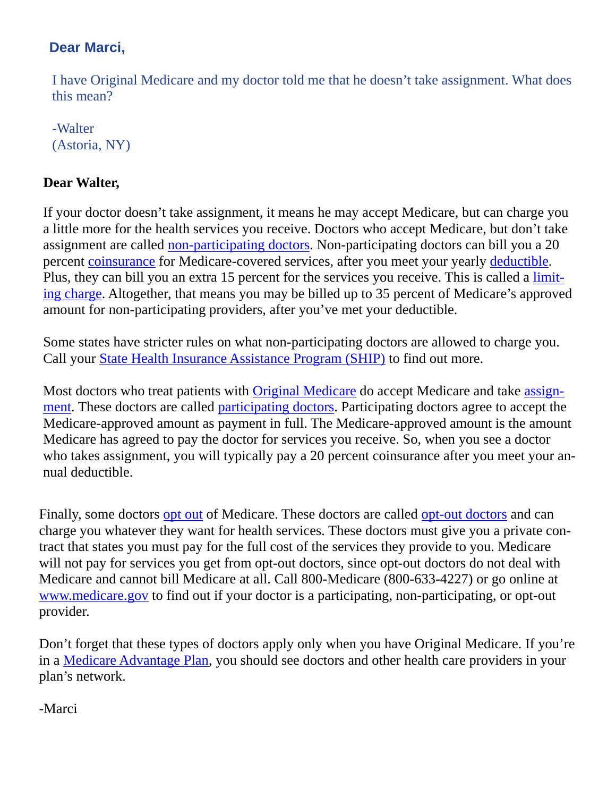### **Dear Marci,**

I have Original Medicare and my doctor told me that he doesn't take assignment. What does this mean?

-Walter (Astoria, NY)

### **Dear Walter,**

If your doctor doesn't take assignment, it means he may accept Medicare, but can charge you a little more for the health services you receive. Doctors who accept Medicare, but don't take assignment are called [non-participating doctors](http://e.medicarerights-email.org/l.jsp?d=5921.549070.1282.9ICUesJOv_kqWQMg11JARKA..A). Non-participating doctors can bill you a 20 percent [coinsurance](http://e.medicarerights-email.org/l.jsp?d=5921.549062.1282.9ICUesJOv_kqWQMg11JARKA..A) for Medicare-covered services, after you meet your yearly [deductible](http://e.medicarerights-email.org/l.jsp?d=5921.549068.1282.9ICUesJOv_kqWQMg11JARKA..A). Plus, they can bill you an extra 15 percent for the services you receive. This is called a [limit](http://e.medicarerights-email.org/l.jsp?d=5921.549067.1282.9ICUesJOv_kqWQMg11JARKA..A)[ing charge](http://e.medicarerights-email.org/l.jsp?d=5921.549067.1282.9ICUesJOv_kqWQMg11JARKA..A). Altogether, that means you may be billed up to 35 percent of Medicare's approved amount for non-participating providers, after you've met your deductible.

Some states have stricter rules on what non-participating doctors are allowed to charge you. Call your [State Health Insurance Assistance Program \(SHIP\)](http://e.medicarerights-email.org/l.jsp?d=5921.549066.1282.9ICUesJOv_kqWQMg11JARKA..A) to find out more.

Most doctors who treat patients with [Original Medicare](http://e.medicarerights-email.org/l.jsp?d=5921.549065.1282.9ICUesJOv_kqWQMg11JARKA..A) do accept Medicare and take [assign](http://e.medicarerights-email.org/l.jsp?d=5921.549064.1282.9ICUesJOv_kqWQMg11JARKA..A)[ment](http://e.medicarerights-email.org/l.jsp?d=5921.549064.1282.9ICUesJOv_kqWQMg11JARKA..A). These doctors are called [participating doctors](http://e.medicarerights-email.org/l.jsp?d=5921.549063.1282.9ICUesJOv_kqWQMg11JARKA..A). Participating doctors agree to accept the Medicare-approved amount as payment in full. The Medicare-approved amount is the amount Medicare has agreed to pay the doctor for services you receive. So, when you see a doctor who takes assignment, you will typically pay a 20 percent coinsurance after you meet your annual deductible.

Finally, some doctors [opt out](http://e.medicarerights-email.org/l.jsp?d=5921.549061.1282.9ICUesJOv_kqWQMg11JARKA..A) of Medicare. These doctors are called [opt-out doctors](http://e.medicarerights-email.org/l.jsp?d=5921.549060.1282.9ICUesJOv_kqWQMg11JARKA..A) and can charge you whatever they want for health services. These doctors must give you a private contract that states you must pay for the full cost of the services they provide to you. Medicare will not pay for services you get from opt-out doctors, since opt-out doctors do not deal with Medicare and cannot bill Medicare at all. Call 800-Medicare (800-633-4227) or go online at [www.medicare.gov](http://e.medicarerights-email.org/l.jsp?d=5921.549059.1282.9ICUesJOv_kqWQMg11JARKA..A) to find out if your doctor is a participating, non-participating, or opt-out provider.

Don't forget that these types of doctors apply only when you have Original Medicare. If you're in a [Medicare Advantage Plan](http://e.medicarerights-email.org/l.jsp?d=5921.549058.1282.9ICUesJOv_kqWQMg11JARKA..A), you should see doctors and other health care providers in your plan's network.

-Marci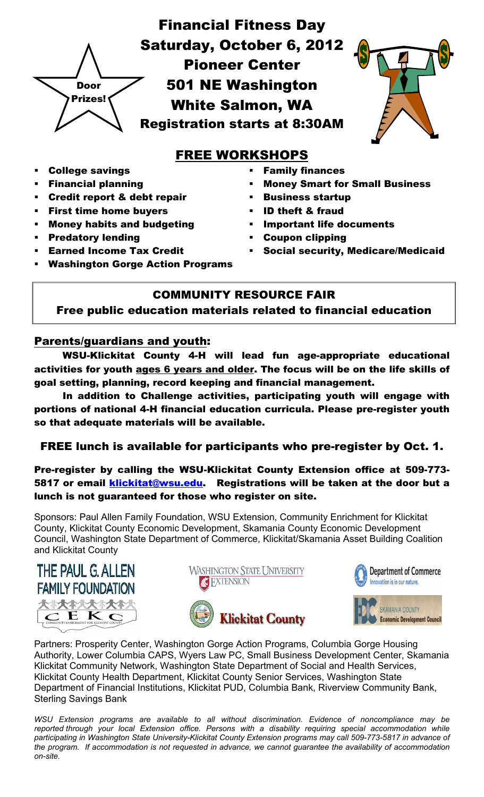

### FREE WORKSHOPS

- College savings
- Financial planning
- Credit report & debt repair
- First time home buyers
- Money habits and budgeting
- Predatory lending
- Earned Income Tax Credit
- Family finances
- Money Smart for Small Business
- Business startup
- ID theft & fraud
- Important life documents
- Coupon clipping
- Social security, Medicare/Medicaid
- Washington Gorge Action Programs

### COMMUNITY RESOURCE FAIR

Free public education materials related to financial education

### Parents/guardians and youth:

WSU-Klickitat County 4-H will lead fun age-appropriate educational activities for youth ages 6 years and older. The focus will be on the life skills of goal setting, planning, record keeping and financial management.

 In addition to Challenge activities, participating youth will engage with portions of national 4-H financial education curricula. Please pre-register youth so that adequate materials will be available.

### FREE lunch is available for participants who pre-register by Oct. 1.

Pre-register by calling the WSU-Klickitat County Extension office at 509-773- 5817 or email klickitat@wsu.edu. Registrations will be taken at the door but a lunch is not guaranteed for those who register on site.

Sponsors: Paul Allen Family Foundation, WSU Extension, Community Enrichment for Klickitat County, Klickitat County Economic Development, Skamania County Economic Development Council, Washington State Department of Commerce, Klickitat/Skamania Asset Building Coalition and Klickitat County











Partners: Prosperity Center, Washington Gorge Action Programs, Columbia Gorge Housing Authority, Lower Columbia CAPS, Wyers Law PC, Small Business Development Center, Skamania Klickitat Community Network, Washington State Department of Social and Health Services, Klickitat County Health Department, Klickitat County Senior Services, Washington State Department of Financial Institutions, Klickitat PUD, Columbia Bank, Riverview Community Bank, Sterling Savings Bank

*WSU Extension programs are available to all without discrimination. Evidence of noncompliance may be reported through your local Extension office. Persons with a disability requiring special accommodation while participating in Washington State University-Klickitat County Extension programs may call 509-773-5817 in advance of the program. If accommodation is not requested in advance, we cannot guarantee the availability of accommodation on-site.*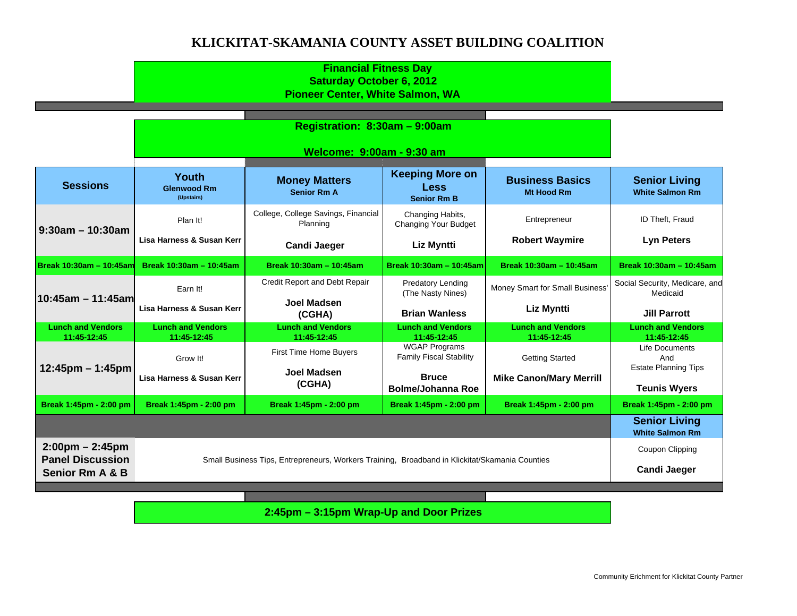#### **KLICKITAT-SKAMANIA COUNTY ASSET BUILDING COALITION**

|                                                              |                                                                                                | Welcome: 9:00am - 9:30 am                       |                                                             |                                         |                                                      |
|--------------------------------------------------------------|------------------------------------------------------------------------------------------------|-------------------------------------------------|-------------------------------------------------------------|-----------------------------------------|------------------------------------------------------|
| <b>Sessions</b>                                              | <b>Youth</b><br><b>Glenwood Rm</b><br>(Upstairs)                                               | <b>Money Matters</b><br><b>Senior Rm A</b>      | <b>Keeping More on</b><br><b>Less</b><br><b>Senior Rm B</b> | <b>Business Basics</b><br>Mt Hood Rm    | <b>Senior Living</b><br><b>White Salmon Rm</b>       |
|                                                              | Plan It!                                                                                       | College, College Savings, Financial<br>Planning | Changing Habits,<br>Changing Your Budget                    | Entrepreneur                            | ID Theft, Fraud                                      |
| $9:30$ am – 10:30am                                          | Lisa Harness & Susan Kerr                                                                      | <b>Candi Jaeger</b>                             | <b>Liz Myntti</b>                                           | <b>Robert Waymire</b>                   | <b>Lyn Peters</b>                                    |
| Break 10:30am - 10:45am                                      | Break 10:30am - 10:45am                                                                        | Break 10:30am - 10:45am                         | Break 10:30am - 10:45am                                     | Break 10:30am - 10:45am                 | Break 10:30am - 10:45am                              |
|                                                              | Earn It!                                                                                       | Credit Report and Debt Repair                   | <b>Predatory Lending</b><br>(The Nasty Nines)               | Money Smart for Small Business          | Social Security, Medicare, and<br>Medicaid           |
| 10:45am - 11:45am                                            | Lisa Harness & Susan Kerr                                                                      | <b>Joel Madsen</b><br>(CGHA)                    | <b>Brian Wanless</b>                                        | Liz Myntti                              | <b>Jill Parrott</b>                                  |
| <b>Lunch and Vendors</b><br>11:45-12:45                      | <b>Lunch and Vendors</b><br>11:45-12:45                                                        | <b>Lunch and Vendors</b><br>11:45-12:45         | <b>Lunch and Vendors</b><br>11:45-12:45                     | <b>Lunch and Vendors</b><br>11:45-12:45 | <b>Lunch and Vendors</b><br>11:45-12:45              |
| 12:45pm - 1:45pm                                             | Grow It!                                                                                       | First Time Home Buyers                          | <b>WGAP Programs</b><br><b>Family Fiscal Stability</b>      | <b>Getting Started</b>                  | Life Documents<br>And<br><b>Estate Planning Tips</b> |
|                                                              | Lisa Harness & Susan Kerr                                                                      | <b>Joel Madsen</b><br>(CGHA)                    | <b>Bruce</b><br><b>Bolme/Johanna Roe</b>                    | <b>Mike Canon/Mary Merrill</b>          | <b>Teunis Wyers</b>                                  |
| Break 1:45pm - 2:00 pm                                       | Break 1:45pm - 2:00 pm                                                                         | Break 1:45pm - 2:00 pm                          | Break 1:45pm - 2:00 pm                                      | Break 1:45pm - 2:00 pm                  | Break 1:45pm - 2:00 pm                               |
|                                                              |                                                                                                |                                                 |                                                             |                                         | <b>Senior Living</b><br><b>White Salmon Rm</b>       |
| $2:00 \text{pm} - 2:45 \text{pm}$<br><b>Panel Discussion</b> | <b>Coupon Clipping</b>                                                                         |                                                 |                                                             |                                         |                                                      |
| <b>Senior Rm A &amp; B</b>                                   | Small Business Tips, Entrepreneurs, Workers Training, Broadband in Klickitat/Skamania Counties | <b>Candi Jaeger</b>                             |                                                             |                                         |                                                      |
|                                                              |                                                                                                |                                                 |                                                             |                                         |                                                      |

**2:45pm – 3:15pm Wrap-Up and Door Prizes**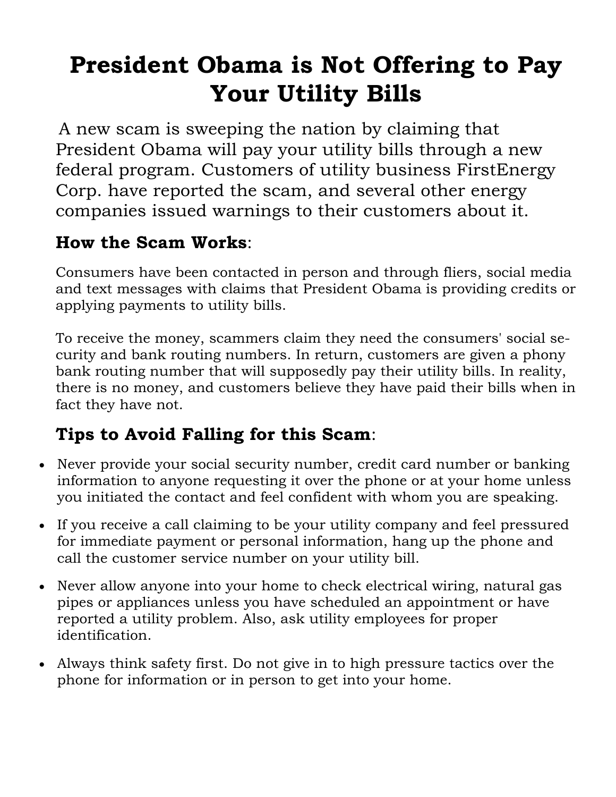## **President Obama is Not Offering to Pay Your Utility Bills**

A new scam is sweeping the nation by claiming that President Obama will pay your utility bills through a new federal program. Customers of utility business FirstEnergy Corp. have reported the scam, and several other energy companies issued warnings to their customers about it.

### **How the Scam Works**:

Consumers have been contacted in person and through fliers, social media and text messages with claims that President Obama is providing credits or applying payments to utility bills.

To receive the money, scammers claim they need the consumers' social security and bank routing numbers. In return, customers are given a phony bank routing number that will supposedly pay their utility bills. In reality, there is no money, and customers believe they have paid their bills when in fact they have not.

## **Tips to Avoid Falling for this Scam**:

- Never provide your social security number, credit card number or banking information to anyone requesting it over the phone or at your home unless you initiated the contact and feel confident with whom you are speaking.
- If you receive a call claiming to be your utility company and feel pressured for immediate payment or personal information, hang up the phone and call the customer service number on your utility bill.
- Never allow anyone into your home to check electrical wiring, natural gas pipes or appliances unless you have scheduled an appointment or have reported a utility problem. Also, ask utility employees for proper identification.
- Always think safety first. Do not give in to high pressure tactics over the phone for information or in person to get into your home.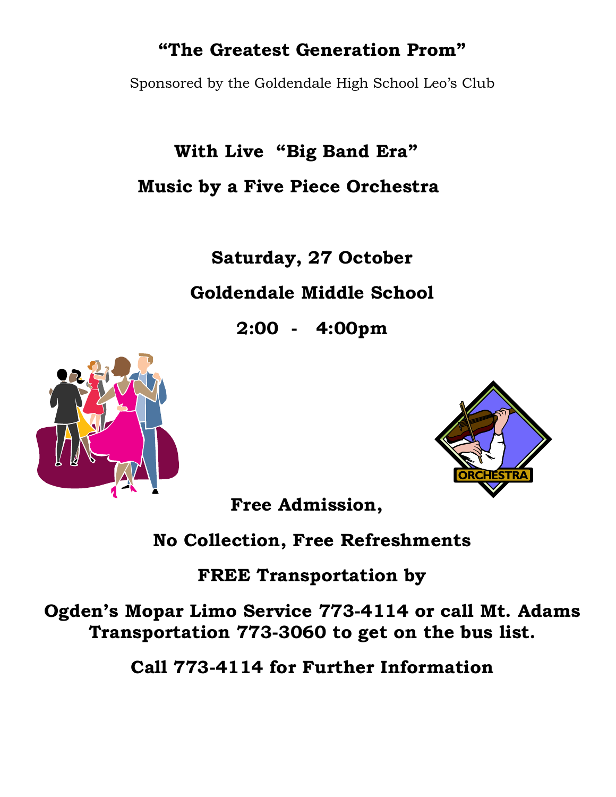## **"The Greatest Generation Prom"**

Sponsored by the Goldendale High School Leo's Club

 **With Live "Big Band Era" Music by a Five Piece Orchestra** 

**Saturday, 27 October** 

**Goldendale Middle School** 

**2:00 - 4:00pm** 





**Free Admission,** 

**No Collection, Free Refreshments** 

**FREE Transportation by** 

**Ogden's Mopar Limo Service 773-4114 or call Mt. Adams Transportation 773-3060 to get on the bus list.** 

**Call 773-4114 for Further Information**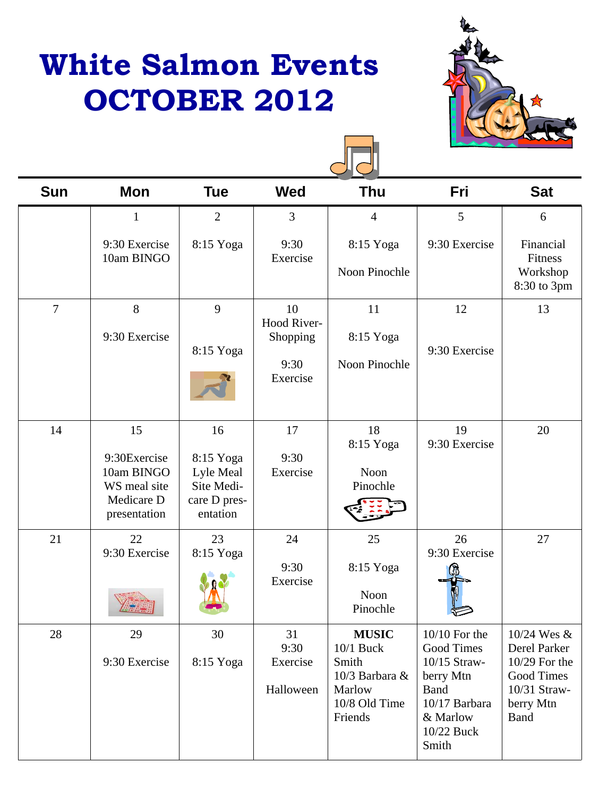## **White Salmon Events OCTOBER 2012**





| <b>Sun</b>     | <b>Mon</b>                                                                     | <b>Tue</b>                                                             | <b>Wed</b>                                        | <b>Thu</b>                                                                                 | Fri                                                                                                                           | <b>Sat</b>                                                                                             |
|----------------|--------------------------------------------------------------------------------|------------------------------------------------------------------------|---------------------------------------------------|--------------------------------------------------------------------------------------------|-------------------------------------------------------------------------------------------------------------------------------|--------------------------------------------------------------------------------------------------------|
|                | 1                                                                              | $\overline{2}$                                                         | $\overline{3}$                                    | $\overline{4}$                                                                             | 5                                                                                                                             | 6                                                                                                      |
|                | 9:30 Exercise<br>10am BINGO                                                    | 8:15 Yoga                                                              | 9:30<br>Exercise                                  | 8:15 Yoga<br>Noon Pinochle                                                                 | 9:30 Exercise                                                                                                                 | Financial<br>Fitness<br>Workshop<br>8:30 to 3pm                                                        |
| $\overline{7}$ | 8<br>9:30 Exercise                                                             | 9<br>8:15 Yoga                                                         | 10<br>Hood River-<br>Shopping<br>9:30<br>Exercise | 11<br>8:15 Yoga<br>Noon Pinochle                                                           | 12<br>9:30 Exercise                                                                                                           | 13                                                                                                     |
| 14             | 15<br>9:30Exercise<br>10am BINGO<br>WS meal site<br>Medicare D<br>presentation | 16<br>8:15 Yoga<br>Lyle Meal<br>Site Medi-<br>care D pres-<br>entation | 17<br>9:30<br>Exercise                            | 18<br>8:15 Yoga<br>Noon<br>Pinochle                                                        | 19<br>9:30 Exercise                                                                                                           | 20                                                                                                     |
| 21             | 22<br>9:30 Exercise                                                            | 23<br>8:15 Yoga                                                        | 24<br>9:30<br>Exercise                            | 25<br>8:15 Yoga<br>Noon<br>Pinochle                                                        | 26<br>9:30 Exercise                                                                                                           | 27                                                                                                     |
| 28             | 29<br>9:30 Exercise                                                            | 30<br>8:15 Yoga                                                        | 31<br>9:30<br>Exercise<br>Halloween               | <b>MUSIC</b><br>10/1 Buck<br>Smith<br>10/3 Barbara &<br>Marlow<br>10/8 Old Time<br>Friends | $10/10$ For the<br>Good Times<br>10/15 Straw-<br>berry Mtn<br><b>Band</b><br>10/17 Barbara<br>& Marlow<br>10/22 Buck<br>Smith | 10/24 Wes &<br>Derel Parker<br>10/29 For the<br>Good Times<br>10/31 Straw-<br>berry Mtn<br><b>Band</b> |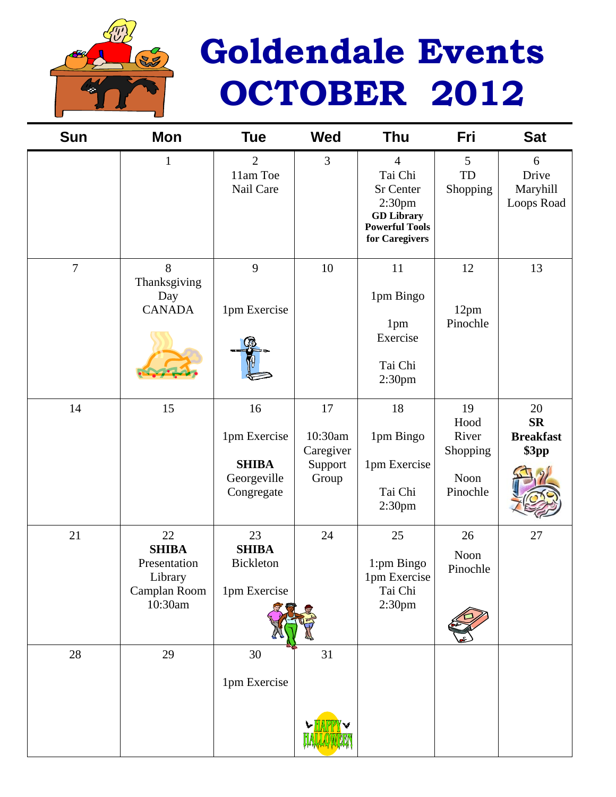

# **Goldendale Events OCTOBER 2012**

| <b>Sun</b>     | Mon                                                                      | <b>Tue</b>                                                      | <b>Wed</b>                                     | <b>Thu</b>                                                                                                                          | Fri                                                 | <b>Sat</b>                                          |
|----------------|--------------------------------------------------------------------------|-----------------------------------------------------------------|------------------------------------------------|-------------------------------------------------------------------------------------------------------------------------------------|-----------------------------------------------------|-----------------------------------------------------|
|                | $\mathbf{1}$                                                             | $\overline{2}$<br>11am Toe<br>Nail Care                         | 3                                              | $\overline{4}$<br>Tai Chi<br><b>Sr Center</b><br>2:30 <sub>pm</sub><br><b>GD</b> Library<br><b>Powerful Tools</b><br>for Caregivers | 5<br>TD<br>Shopping                                 | 6<br>Drive<br>Maryhill<br>Loops Road                |
| $\overline{7}$ | 8<br>Thanksgiving<br>Day<br><b>CANADA</b>                                | 9<br>1pm Exercise                                               | 10                                             | 11<br>1pm Bingo<br>1pm<br>Exercise<br>Tai Chi<br>2:30pm                                                                             | 12<br>12pm<br>Pinochle                              | 13                                                  |
| 14             | 15                                                                       | 16<br>1pm Exercise<br><b>SHIBA</b><br>Georgeville<br>Congregate | 17<br>10:30am<br>Caregiver<br>Support<br>Group | 18<br>1pm Bingo<br>1pm Exercise<br>Tai Chi<br>2:30 <sub>pm</sub>                                                                    | 19<br>Hood<br>River<br>Shopping<br>Noon<br>Pinochle | 20<br>$S_{\mathbf{R}}$<br><b>Breakfast</b><br>\$3pp |
| 21             | 22<br><b>SHIBA</b><br>Presentation<br>Library<br>Camplan Room<br>10:30am | 23<br><b>SHIBA</b><br>Bickleton<br>1pm Exercise                 | 24                                             | 25<br>1:pm Bingo<br>1pm Exercise<br>Tai Chi<br>2:30pm                                                                               | 26<br>Noon<br>Pinochle                              | $27\,$                                              |
| 28             | 29                                                                       | 30<br>1pm Exercise                                              | 31                                             |                                                                                                                                     |                                                     |                                                     |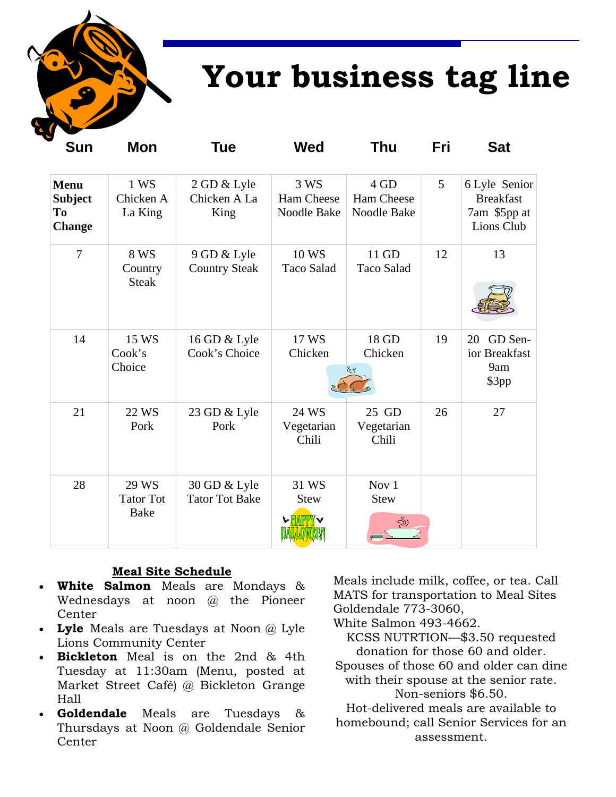

## **Your business tag line**

| Sun                                                  | Mon                                      | Tue                                   | Wed                               | Thu                                | Fri | Sat                                                             |
|------------------------------------------------------|------------------------------------------|---------------------------------------|-----------------------------------|------------------------------------|-----|-----------------------------------------------------------------|
| <b>Menu</b><br><b>Subject</b><br>To<br><b>Change</b> | 1 WS<br>Chicken A<br>La King             | 2 GD & Lyle<br>Chicken A La<br>King   | 3 WS<br>Ham Cheese<br>Noodle Bake | 4 GD<br>Ham Cheese<br>Noodle Bake  | 5   | 6 Lyle Senior<br><b>Breakfast</b><br>7am \$5pp at<br>Lions Club |
| $\overline{7}$                                       | 8 WS<br>Country<br><b>Steak</b>          | 9 GD & Lyle<br><b>Country Steak</b>   | 10 WS<br><b>Taco Salad</b>        | 11 GD<br><b>Taco Salad</b>         | 12  | 13                                                              |
| 14                                                   | 15 WS<br>Cook's<br>Choice                | 16 GD & Lyle<br>Cook's Choice         | 17 WS<br>Chicken                  | 18 GD<br>Chicken<br>7 જ            | 19  | GD Sen-<br>20<br>ior Breakfast<br>9am<br>\$3pp                  |
| 21                                                   | 22 WS<br>Pork                            | 23 GD & Lyle<br>Pork                  | 24 WS<br>Vegetarian<br>Chili      | 25 GD<br>Vegetarian<br>Chili       | 26  | 27                                                              |
| 28                                                   | 29 WS<br><b>Tator Tot</b><br><b>Bake</b> | 30 GD & Lyle<br><b>Tator Tot Bake</b> | 31 WS<br><b>Stew</b><br>w lila    | Nov 1<br><b>Stew</b><br><u>නි)</u> |     |                                                                 |

#### **Meal Site Schedule**

- **White Salmon** Meals are Mondays & Wednesdays at noon @ the Pioneer Center
- **Lyle** Meals are Tuesdays at Noon @ Lyle Lions Community Center
- **Bickleton** Meal is on the 2nd & 4th Tuesday at 11:30am (Menu, posted at Market Street Café) @ Bickleton Grange Hall
- **Goldendale** Meals are Tuesdays & Thursdays at Noon @ Goldendale Senior Center

Meals include milk, coffee, or tea. Call MATS for transportation to Meal Sites Goldendale 773-3060,

White Salmon 493-4662.

KCSS NUTRTION—\$3.50 requested donation for those 60 and older.

Spouses of those 60 and older can dine with their spouse at the senior rate.

Non-seniors \$6.50.

Hot-delivered meals are available to homebound; call Senior Services for an assessment.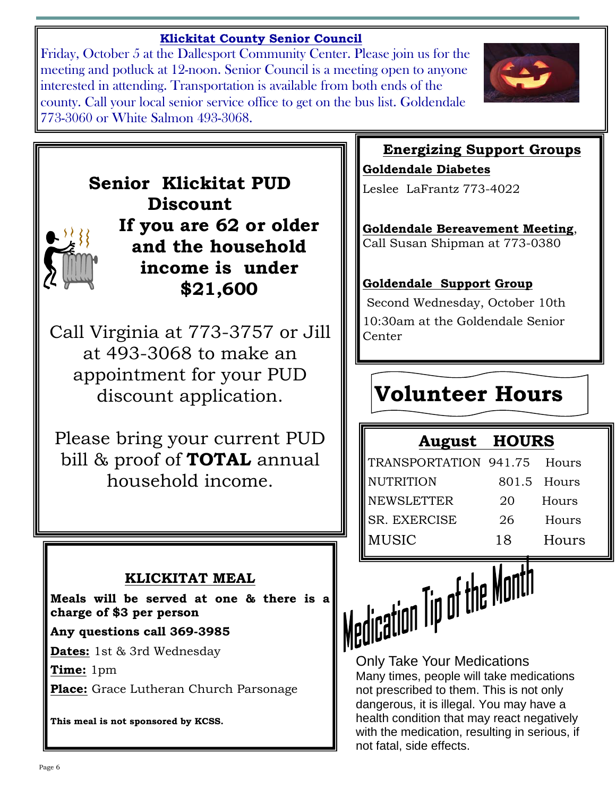### **Klickitat County Senior Council**

Friday, October 5 at the Dallesport Community Center. Please join us for the meeting and potluck at 12-noon. Senior Council is a meeting open to anyone interested in attending. Transportation is available from both ends of the county. Call your local senior service office to get on the bus list. Goldendale 773-3060 or White Salmon 493-3068.



**Senior Klickitat PUD Discount If you are 62 or older and the household income is under \$21,600** 

Call Virginia at 773-3757 or Jill at 493-3068 to make an appointment for your PUD discount application.

Please bring your current PUD bill & proof of **TOTAL** annual household income.

### **KLICKITAT MEAL**

**Meals will be served at one & there is a charge of \$3 per person** 

#### **Any questions call 369-3985**

**Dates:** 1st & 3rd Wednesday

**Time:** 1pm

**Place:** Grace Lutheran Church Parsonage

**This meal is not sponsored by KCSS.** 

## **Energizing Support Groups**

**Goldendale Diabetes** Leslee LaFrantz 773-4022

**Goldendale Bereavement Meeting**, Call Susan Shipman at 773-0380

### **Goldendale Support Group**

Second Wednesday, October 10th 10:30am at the Goldendale Senior Center

## **Volunteer Hours**

### **August HOURS**

| TRANSPORTATION 941.75 Hours |    |             |
|-----------------------------|----|-------------|
| <b>NUTRITION</b>            |    | 801.5 Hours |
| <b>NEWSLETTER</b>           | 20 | Hours       |
| <b>SR. EXERCISE</b>         | 26 | Hours       |
| <b>MUSIC</b>                | 18 | Hours       |

Only Take Your Medications

Many times, people will take medications not prescribed to them. This is not only dangerous, it is illegal. You may have a health condition that may react negatively with the medication, resulting in serious, if not fatal, side effects.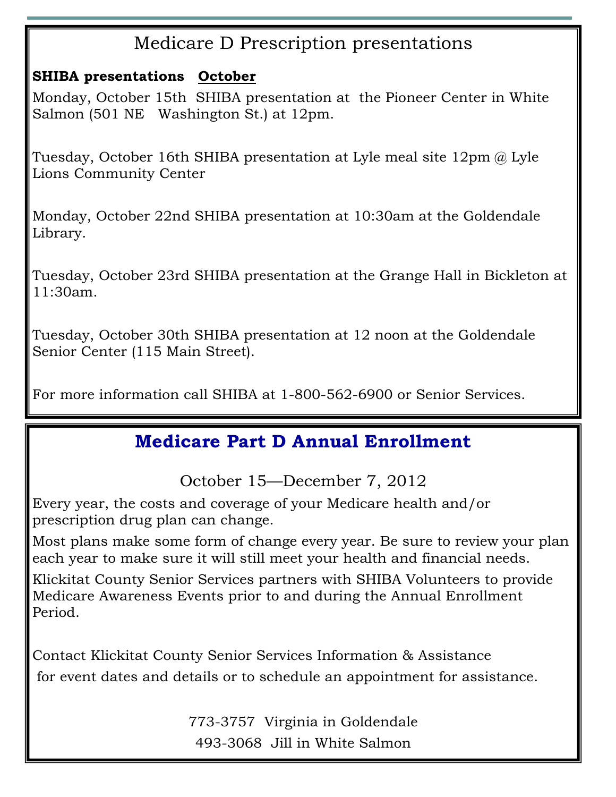## Medicare D Prescription presentations

### **SHIBA presentations October**

Monday, October 15th SHIBA presentation at the Pioneer Center in White Salmon (501 NE Washington St.) at 12pm.

Tuesday, October 16th SHIBA presentation at Lyle meal site 12pm @ Lyle Lions Community Center

Monday, October 22nd SHIBA presentation at 10:30am at the Goldendale Library.

Tuesday, October 23rd SHIBA presentation at the Grange Hall in Bickleton at 11:30am.

Tuesday, October 30th SHIBA presentation at 12 noon at the Goldendale Senior Center (115 Main Street).

For more information call SHIBA at 1-800-562-6900 or Senior Services.

## **Medicare Part D Annual Enrollment**

October 15—December 7, 2012

Every year, the costs and coverage of your Medicare health and/or prescription drug plan can change.

Most plans make some form of change every year. Be sure to review your plan each year to make sure it will still meet your health and financial needs.

Klickitat County Senior Services partners with SHIBA Volunteers to provide Medicare Awareness Events prior to and during the Annual Enrollment Period.

Contact Klickitat County Senior Services Information & Assistance for event dates and details or to schedule an appointment for assistance.

> 773-3757 Virginia in Goldendale 493-3068 Jill in White Salmon